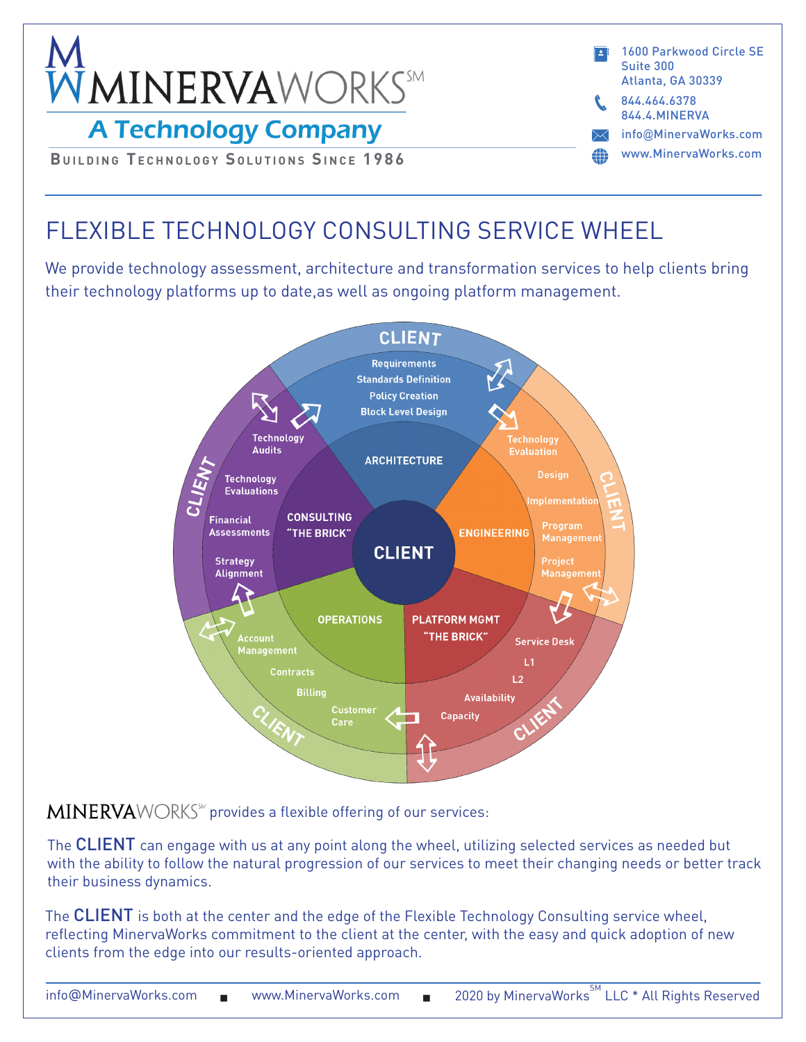

info@MinervaWorks.com www.MinervaWorks.com 1600 Parkwood Circle SE Suite 300 Atlanta, GA 30339 844.4.MINERVA 844.464.6378

**BUILDING TECHNOLOGY SOLUTIONS SINCE 1986** 

# FLEXIBLE TECHNOLOGY CONSULTING SERVICE WHEEL

We provide technology assessment, architecture and transformation services to help clients bring their technology platforms up to date,as well as ongoing platform management.



 $MINERVAWORKS^{\omega}$  provides a flexible offering of our services:

The CLIENT can engage with us at any point along the wheel, utilizing selected services as needed but with the ability to follow the natural progression of our services to meet their changing needs or better track their business dynamics.

The CLIENT is both at the center and the edge of the Flexible Technology Consulting service wheel, reflecting MinervaWorks commitment to the client at the center, with the easy and quick adoption of new clients from the edge into our results-oriented approach.